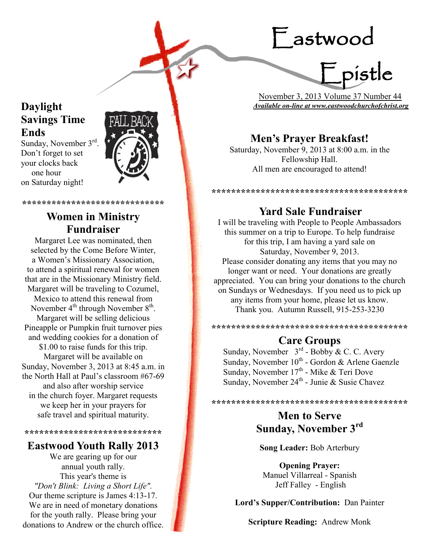# Eastwood



 November 3, 2013 Volume 37 Number 44 *Available on-line at www.eastwoodchurchofchrist.org*

# **Men's Prayer Breakfast!**

Saturday, November 9, 2013 at 8:00 a.m. in the Fellowship Hall. All men are encouraged to attend!

**\*\*\*\*\*\*\*\*\*\*\*\*\*\*\*\*\*\*\*\*\*\*\*\*\*\*\*\*\*\*\*\*\*\*\*\*\*\*\*\***

# **Yard Sale Fundraiser**

I will be traveling with People to People Ambassadors this summer on a trip to Europe. To help fundraise for this trip, I am having a yard sale on Saturday, November 9, 2013. Please consider donating any items that you may no longer want or need. Your donations are greatly appreciated. You can bring your donations to the church on Sundays or Wednesdays. If you need us to pick up any items from your home, please let us know. Thank you. Autumn Russell, 915-253-3230

**\*\*\*\*\*\*\*\*\*\*\*\*\*\*\*\*\*\*\*\*\*\*\*\*\*\*\*\*\*\*\*\*\*\*\*\*\*\*\*\***

# **Care Groups**

Sunday, November  $3<sup>rd</sup>$  - Bobby & C. C. Avery Sunday, November 10<sup>th</sup> - Gordon & Arlene Gaenzle Sunday, November 17<sup>th</sup> - Mike & Teri Dove Sunday, November 24<sup>th</sup> - Junie & Susie Chavez

**\*\*\*\*\*\*\*\*\*\*\*\*\*\*\*\*\*\*\*\*\*\*\*\*\*\*\*\*\*\*\*\*\*\*\*\*\*\*\*\***

# **Men to Serve Sunday, November 3rd**

**Song Leader:** Bob Arterbury

**Opening Prayer:** Manuel Villarreal - Spanish Jeff Falley - English

**Lord's Supper/Contribution:** Dan Painter

**Scripture Reading:** Andrew Monk

# **Daylight Savings Time Ends**

Sunday, November 3rd. Don't forget to set your clocks back one hour on Saturday night!



**\*\*\*\*\*\*\*\*\*\*\*\*\*\*\*\*\*\*\*\*\*\*\*\*\*\*\*\*\***

# **Women in Ministry Fundraiser**

Margaret Lee was nominated, then selected by the Come Before Winter, a Women's Missionary Association, to attend a spiritual renewal for women that are in the Missionary Ministry field. Margaret will be traveling to Cozumel, Mexico to attend this renewal from November  $4^{\text{th}}$  through November  $8^{\text{th}}$ . Margaret will be selling delicious Pineapple or Pumpkin fruit turnover pies and wedding cookies for a donation of \$1.00 to raise funds for this trip. Margaret will be available on Sunday, November 3, 2013 at 8:45 a.m. in the North Hall at Paul's classroom #67-69 and also after worship service in the church foyer. Margaret requests we keep her in your prayers for safe travel and spiritual maturity.

**\*\*\*\*\*\*\*\*\*\*\*\*\*\*\*\*\*\*\*\*\*\*\*\*\*\*\*\***

## **Eastwood Youth Rally 2013**

We are gearing up for our annual youth rally. This year's theme is *"Don't Blink: Living a Short Life".*  Our theme scripture is James 4:13-17. We are in need of monetary donations for the youth rally. Please bring your donations to Andrew or the church office.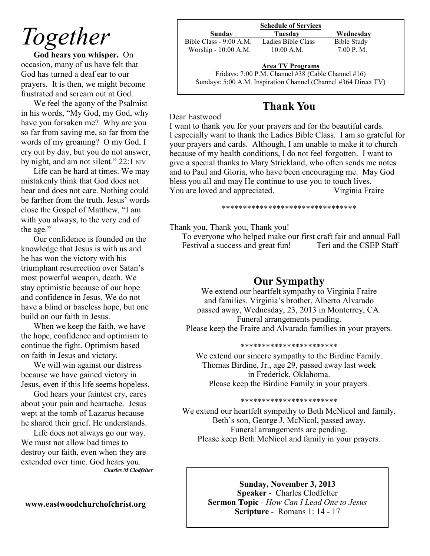# *Together*

**God hears you whisper.** On occasion, many of us have felt that God has turned a deaf ear to our prayers. It is then, we might become frustrated and scream out at God.

We feel the agony of the Psalmist in his words, "My God, my God, why have you forsaken me? Why are you so far from saving me, so far from the words of my groaning? O my God, I cry out by day, but you do not answer, by night, and am not silent." 22:1 NIV

Life can be hard at times. We may mistakenly think that God does not hear and does not care. Nothing could be farther from the truth. Jesus' words close the Gospel of Matthew, "I am with you always, to the very end of the age."

Our confidence is founded on the knowledge that Jesus is with us and he has won the victory with his triumphant resurrection over Satan's most powerful weapon, death. We stay optimistic because of our hope and confidence in Jesus. We do not have a blind or baseless hope, but one build on our faith in Jesus.

When we keep the faith, we have the hope, confidence and optimism to continue the fight. Optimism based on faith in Jesus and victory.

We will win against our distress because we have gained victory in Jesus, even if this life seems hopeless.

God hears your faintest cry, cares about your pain and heartache. Jesus wept at the tomb of Lazarus because he shared their grief. He understands.

Life does not always go our way. We must not allow bad times to destroy our faith, even when they are extended over time. God hears you. *Charles M Clodfelter*

## **www.eastwoodchurchofchrist.org**

| <b>Schedule of Services</b> |  |
|-----------------------------|--|
|                             |  |

**Sunday Tuesday Wednesday** Bible Class - 9:00 A.M. Ladies Bible Class Bible Study Worship - 10:00 A.M. 10:00 A.M. 7:00 P.M.

### **Area TV Programs**

Area TV Programs<br>Fridays: 7:00 P.M. Channel #38 (Cable Channel #16) Sundays: 5:00 A.M. Inspiration Channel (Channel #364 Direct TV)

# **Thank You**

#### Dear Eastwood

I want to thank you for your prayers and for the beautiful cards. I especially want to thank the Ladies Bible Class. I am so grateful for your prayers and cards. Although, I am unable to make it to church because of my health conditions, I do not feel forgotten. I want to give a special thanks to Mary Strickland, who often sends me notes and to Paul and Gloria, who have been encouraging me. May God bless you all and may He continue to use you to touch lives. You are loved and appreciated. Virginia Fraire

#### \*\*\*\*\*\*\*\*\*\*\*\*\*\*\*\*\*\*\*\*\*\*\*\*\*\*\*\*\*\*\*\*

Thank you, Thank you, Thank you!

 To everyone who helped make our first craft fair and annual Fall Festival a success and great fun! Teri and the CSEP Staff

# **Our Sympathy**

We extend our heartfelt sympathy to Virginia Fraire and families. Virginia's brother, Alberto Alvarado passed away, Wednesday, 23, 2013 in Monterrey, CA. Funeral arrangements pending. Please keep the Fraire and Alvarado families in your prayers.

### \*\*\*\*\*\*\*\*\*\*\*\*\*\*\*\*\*\*\*\*\*\*\*

We extend our sincere sympathy to the Birdine Family. Thomas Birdine, Jr., age 29, passed away last week in Frederick, Oklahoma. Please keep the Birdine Family in your prayers.

### \*\*\*\*\*\*\*\*\*\*\*\*\*\*\*\*\*\*\*\*\*\*\*

We extend our heartfelt sympathy to Beth McNicol and family. Beth's son, George J. McNicol, passed away. Funeral arrangements are pending. Please keep Beth McNicol and family in your prayers.

**Sunday, November 3, 2013**

**Speaker** - Charles Clodfelter **Sermon Topic** - *How Can I Lead One to Jesus*  **Scripture** - Romans 1: 14 - 17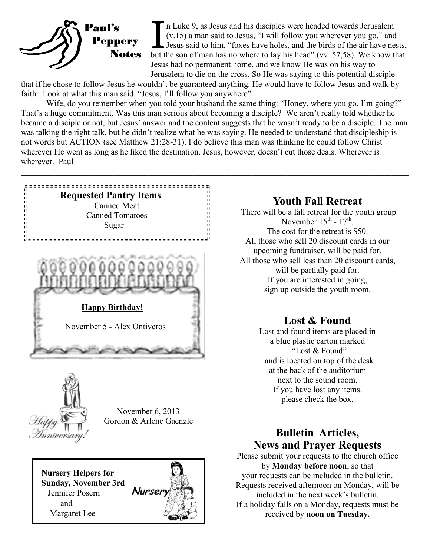

In Luke 9, as Jesus and his disciples were headed towards Jerusalem (v.15) a man said to Jesus, "I will follow you wherever you go." and Jesus said to him, "foxes have holes, and the birds of the air have nests, but the so n Luke 9, as Jesus and his disciples were headed towards Jerusalem (v.15) a man said to Jesus, "I will follow you wherever you go." and Jesus said to him, "foxes have holes, and the birds of the air have nests, Jesus had no permanent home, and we know He was on his way to Jerusalem to die on the cross. So He was saying to this potential disciple

that if he chose to follow Jesus he wouldn't be guaranteed anything. He would have to follow Jesus and walk by faith. Look at what this man said. "Jesus, I'll follow you anywhere".

Wife, do you remember when you told your husband the same thing: "Honey, where you go, I'm going?" That's a huge commitment. Was this man serious about becoming a disciple? We aren't really told whether he became a disciple or not, but Jesus' answer and the content suggests that he wasn't ready to be a disciple. The man was talking the right talk, but he didn't realize what he was saying. He needed to understand that discipleship is not words but ACTION (see Matthew 21:28-31). I do believe this man was thinking he could follow Christ wherever He went as long as he liked the destination. Jesus, however, doesn't cut those deals. Wherever is wherever. Paul





November 6, 2013 Gordon & Arlene Gaenzle

 **Nursery Helpers for Sunday, November 3rd** Jennifer Posern and Margaret Lee



## **Youth Fall Retreat**

There will be a fall retreat for the youth group November  $15^{\text{th}}$  -  $17^{\text{th}}$ . The cost for the retreat is \$50. All those who sell 20 discount cards in our upcoming fundraiser, will be paid for. All those who sell less than 20 discount cards, will be partially paid for. If you are interested in going, sign up outside the youth room.

# **Lost & Found**

Lost and found items are placed in a blue plastic carton marked "Lost & Found" and is located on top of the desk at the back of the auditorium next to the sound room. If you have lost any items. please check the box.

# **Bulletin Articles, News and Prayer Requests**

Please submit your requests to the church office by **Monday before noon**, so that your requests can be included in the bulletin. Requests received afternoon on Monday, will be included in the next week's bulletin. If a holiday falls on a Monday, requests must be received by **noon on Tuesday.**